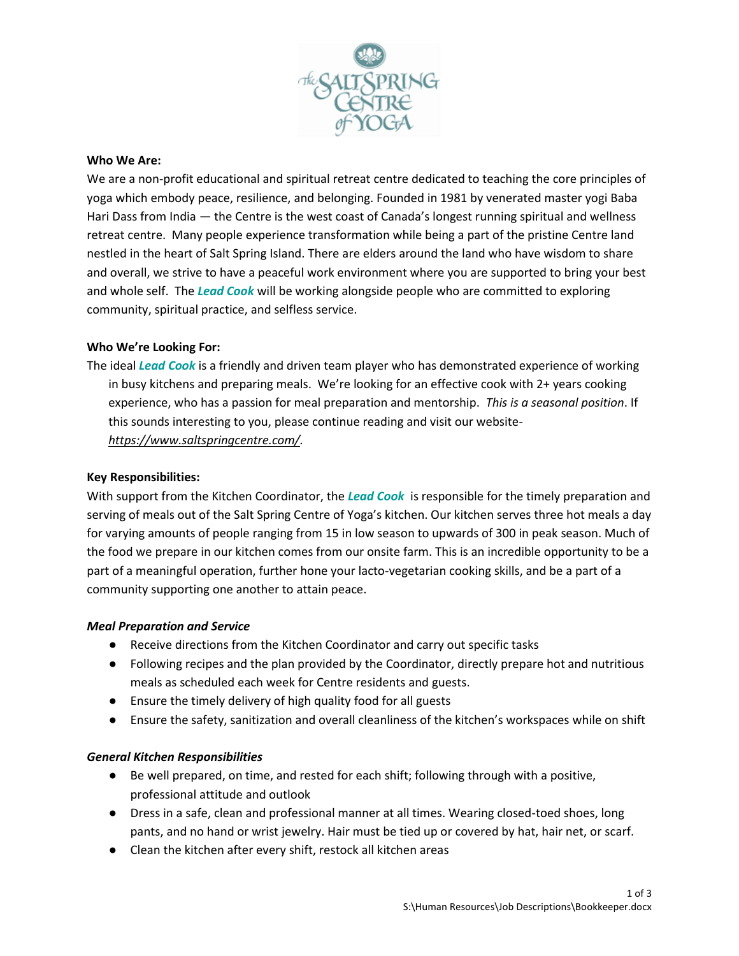

### **Who We Are:**

We are a non-profit educational and spiritual retreat centre dedicated to teaching the core principles of yoga which embody peace, resilience, and belonging. Founded in 1981 by venerated master yogi Baba Hari Dass from India — the Centre is the west coast of Canada's longest running spiritual and wellness retreat centre. Many people experience transformation while being a part of the pristine Centre land nestled in the heart of Salt Spring Island. There are elders around the land who have wisdom to share and overall, we strive to have a peaceful work environment where you are supported to bring your best and whole self. The *Lead Cook* will be working alongside people who are committed to exploring community, spiritual practice, and selfless service.

## **Who We're Looking For:**

The ideal *Lead Cook* is a friendly and driven team player who has demonstrated experience of working in busy kitchens and preparing meals. We're looking for an effective cook with 2+ years cooking experience, who has a passion for meal preparation and mentorship. *This is a seasonal position*. If this sounds interesting to you, please continue reading and visit our website*[https://www.saltspringcentre.com/.](https://www.saltspringcentre.com/)* 

## **Key Responsibilities:**

With support from the Kitchen Coordinator, the *Lead Cook* is responsible for the timely preparation and serving of meals out of the Salt Spring Centre of Yoga's kitchen. Our kitchen serves three hot meals a day for varying amounts of people ranging from 15 in low season to upwards of 300 in peak season. Much of the food we prepare in our kitchen comes from our onsite farm. This is an incredible opportunity to be a part of a meaningful operation, further hone your lacto-vegetarian cooking skills, and be a part of a community supporting one another to attain peace.

### *Meal Preparation and Service*

- Receive directions from the Kitchen Coordinator and carry out specific tasks
- Following recipes and the plan provided by the Coordinator, directly prepare hot and nutritious meals as scheduled each week for Centre residents and guests.
- Ensure the timely delivery of high quality food for all guests
- Ensure the safety, sanitization and overall cleanliness of the kitchen's workspaces while on shift

### *General Kitchen Responsibilities*

- Be well prepared, on time, and rested for each shift; following through with a positive, professional attitude and outlook
- Dress in a safe, clean and professional manner at all times. Wearing closed-toed shoes, long pants, and no hand or wrist jewelry. Hair must be tied up or covered by hat, hair net, or scarf.
- Clean the kitchen after every shift, restock all kitchen areas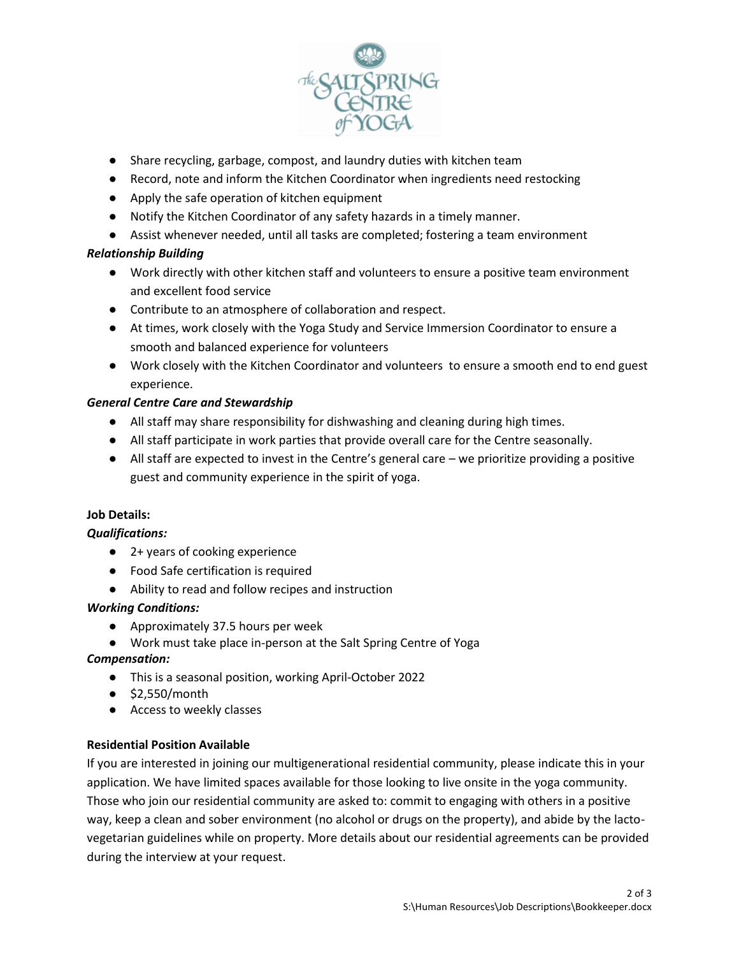

- Share recycling, garbage, compost, and laundry duties with kitchen team
- Record, note and inform the Kitchen Coordinator when ingredients need restocking
- Apply the safe operation of kitchen equipment
- Notify the Kitchen Coordinator of any safety hazards in a timely manner.
- Assist whenever needed, until all tasks are completed; fostering a team environment

# *Relationship Building*

- Work directly with other kitchen staff and volunteers to ensure a positive team environment and excellent food service
- Contribute to an atmosphere of collaboration and respect.
- At times, work closely with the Yoga Study and Service Immersion Coordinator to ensure a smooth and balanced experience for volunteers
- Work closely with the Kitchen Coordinator and volunteers to ensure a smooth end to end guest experience.

# *General Centre Care and Stewardship*

- All staff may share responsibility for dishwashing and cleaning during high times.
- All staff participate in work parties that provide overall care for the Centre seasonally.
- All staff are expected to invest in the Centre's general care we prioritize providing a positive guest and community experience in the spirit of yoga.

# **Job Details:**

# *Qualifications:*

- 2+ years of cooking experience
- Food Safe certification is required
- Ability to read and follow recipes and instruction

### *Working Conditions:*

- Approximately 37.5 hours per week
- Work must take place in-person at the Salt Spring Centre of Yoga

### *Compensation:*

- This is a seasonal position, working April-October 2022
- \$2,550/month
- Access to weekly classes

# **Residential Position Available**

If you are interested in joining our multigenerational residential community, please indicate this in your application. We have limited spaces available for those looking to live onsite in the yoga community. Those who join our residential community are asked to: commit to engaging with others in a positive way, keep a clean and sober environment (no alcohol or drugs on the property), and abide by the lactovegetarian guidelines while on property. More details about our residential agreements can be provided during the interview at your request.